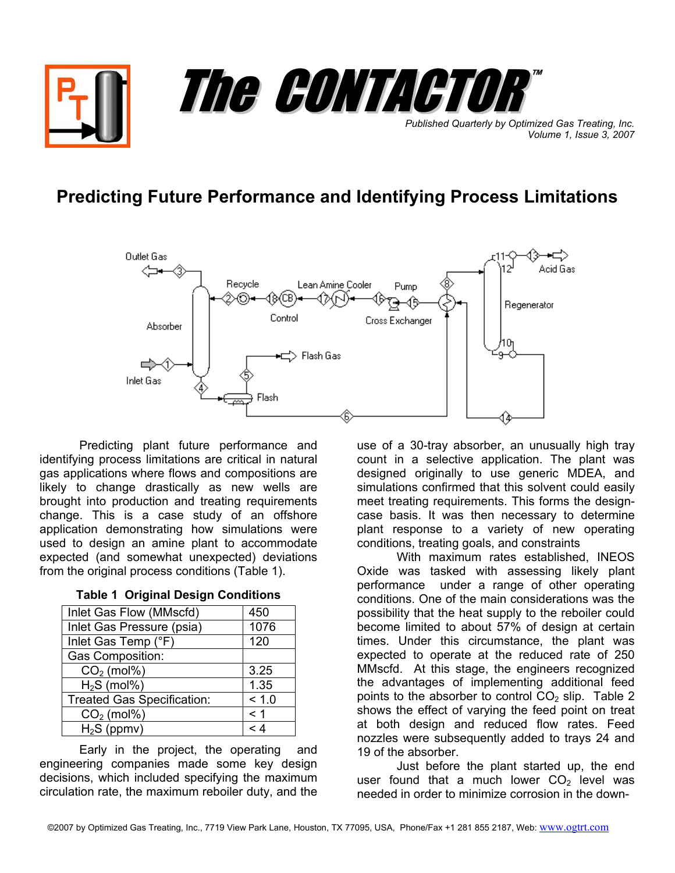

## **Predicting Future Performance and Identifying Process Limitations**



Predicting plant future performance and identifying process limitations are critical in natural gas applications where flows and compositions are likely to change drastically as new wells are brought into production and treating requirements change. This is a case study of an offshore application demonstrating how simulations were used to design an amine plant to accommodate expected (and somewhat unexpected) deviations from the original process conditions (Table 1).

| Inlet Gas Flow (MMscfd)           | 450   |
|-----------------------------------|-------|
| Inlet Gas Pressure (psia)         | 1076  |
| Inlet Gas Temp (°F)               | 120   |
| Gas Composition:                  |       |
| $CO2$ (mol%)                      | 3.25  |
| $H2S$ (mol%)                      | 1.35  |
| <b>Treated Gas Specification:</b> | < 1.0 |
| $CO2$ (mol%)                      | <1    |
| $H2S$ (ppmv)                      | ⊿ >   |

**Table 1 Original Design Conditions**

Early in the project, the operating and engineering companies made some key design decisions, which included specifying the maximum circulation rate, the maximum reboiler duty, and the

use of a 30-tray absorber, an unusually high tray count in a selective application. The plant was designed originally to use generic MDEA, and simulations confirmed that this solvent could easily meet treating requirements. This forms the designcase basis. It was then necessary to determine plant response to a variety of new operating conditions, treating goals, and constraints

With maximum rates established, INEOS Oxide was tasked with assessing likely plant performance under a range of other operating conditions. One of the main considerations was the possibility that the heat supply to the reboiler could become limited to about 57% of design at certain times. Under this circumstance, the plant was expected to operate at the reduced rate of 250 MMscfd. At this stage, the engineers recognized the advantages of implementing additional feed points to the absorber to control  $CO<sub>2</sub>$  slip. Table 2 shows the effect of varying the feed point on treat at both design and reduced flow rates. Feed nozzles were subsequently added to trays 24 and 19 of the absorber.

Just before the plant started up, the end user found that a much lower  $CO<sub>2</sub>$  level was needed in order to minimize corrosion in the down-